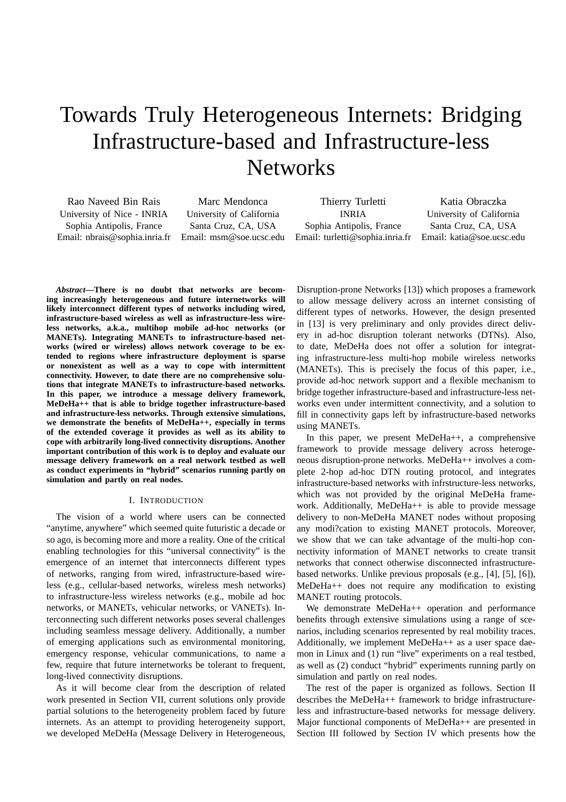# Towards Truly Heterogeneous Internets: Bridging Infrastructure-based and Infrastructure-less **Networks**

Rao Naveed Bin Rais University of Nice - INRIA Sophia Antipolis, France Email: nbrais@sophia.inria.fr

Marc Mendonca University of California Santa Cruz, CA, USA Email: msm@soe.ucsc.edu

Thierry Turletti INRIA Sophia Antipolis, France Email: turletti@sophia.inria.fr Email: katia@soe.ucsc.edu

Katia Obraczka University of California Santa Cruz, CA, USA

*Abstract***—There is no doubt that networks are becoming increasingly heterogeneous and future internetworks will likely interconnect different types of networks including wired, infrastructure-based wireless as well as infrastructure-less wireless networks, a.k.a., multihop mobile ad-hoc networks (or MANETs). Integrating MANETs to infrastructure-based networks (wired or wireless) allows network coverage to be extended to regions where infrastructure deployment is sparse or nonexistent as well as a way to cope with intermittent connectivity. However, to date there are no comprehensive solutions that integrate MANETs to infrastructure-based networks. In this paper, we introduce a message delivery framework, MeDeHa++ that is able to bridge together infrastructure-based and infrastructure-less networks. Through extensive simulations, we demonstrate the benefits of MeDeHa++, especially in terms of the extended coverage it provides as well as its ability to cope with arbitrarily long-lived connectivity disruptions. Another important contribution of this work is to deploy and evaluate our message delivery framework on a real network testbed as well as conduct experiments in "hybrid" scenarios running partly on simulation and partly on real nodes.**

## I. INTRODUCTION

The vision of a world where users can be connected "anytime, anywhere" which seemed quite futuristic a decade or so ago, is becoming more and more a reality. One of the critical enabling technologies for this "universal connectivity" is the emergence of an internet that interconnects different types of networks, ranging from wired, infrastructure-based wireless (e.g., cellular-based networks, wireless mesh networks) to infrastructure-less wireless networks (e.g., mobile ad hoc networks, or MANETs, vehicular networks, or VANETs). Interconnecting such different networks poses several challenges including seamless message delivery. Additionally, a number of emerging applications such as environmental monitoring, emergency response, vehicular communications, to name a few, require that future internetworks be tolerant to frequent, long-lived connectivity disruptions.

As it will become clear from the description of related work presented in Section VII, current solutions only provide partial solutions to the heterogeneity problem faced by future internets. As an attempt to providing heterogeneity support, we developed MeDeHa (Message Delivery in Heterogeneous,

Disruption-prone Networks [13]) which proposes a framework to allow message delivery across an internet consisting of different types of networks. However, the design presented in [13] is very preliminary and only provides direct delivery in ad-hoc disruption tolerant networks (DTNs). Also, to date, MeDeHa does not offer a solution for integrating infrastructure-less multi-hop mobile wireless networks (MANETs). This is precisely the focus of this paper, i.e., provide ad-hoc network support and a flexible mechanism to bridge together infrastructure-based and infrastructure-less networks even under intermittent connectivity, and a solution to fill in connectivity gaps left by infrastructure-based networks using MANETs.

In this paper, we present MeDeHa++, a comprehensive framework to provide message delivery across heterogeneous disruption-prone networks. MeDeHa++ involves a complete 2-hop ad-hoc DTN routing protocol, and integrates infrastructure-based networks with infrstructure-less networks, which was not provided by the original MeDeHa framework. Additionally, MeDeHa++ is able to provide message delivery to non-MeDeHa MANET nodes without proposing any modi?cation to existing MANET protocols. Moreover, we show that we can take advantage of the multi-hop connectivity information of MANET networks to create transit networks that connect otherwise disconnected infrastructurebased networks. Unlike previous proposals (e.g., [4], [5], [6]), MeDeHa++ does not require any modification to existing MANET routing protocols.

We demonstrate MeDeHa++ operation and performance benefits through extensive simulations using a range of scenarios, including scenarios represented by real mobility traces. Additionally, we implement MeDeHa++ as a user space daemon in Linux and (1) run "live" experiments on a real testbed, as well as (2) conduct "hybrid" experiments running partly on simulation and partly on real nodes.

The rest of the paper is organized as follows. Section II describes the MeDeHa++ framework to bridge infrastructureless and infrastructure-based networks for message delivery. Major functional components of MeDeHa++ are presented in Section III followed by Section IV which presents how the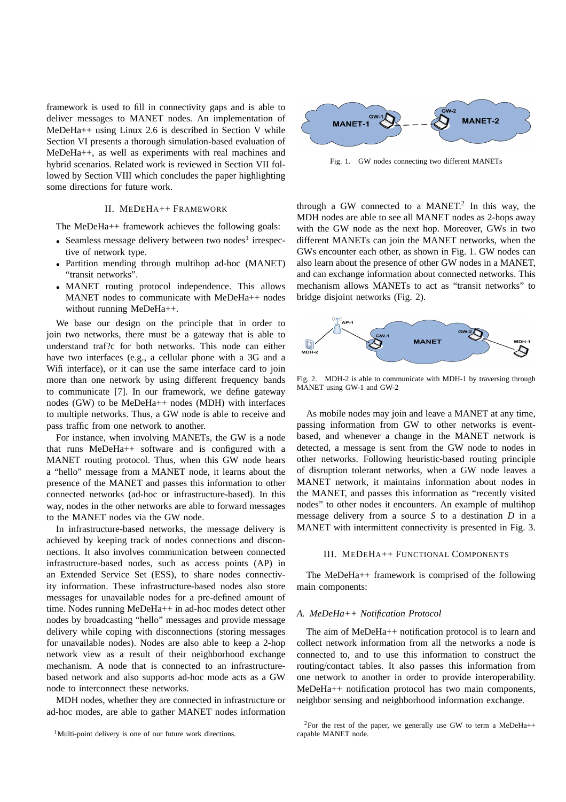framework is used to fill in connectivity gaps and is able to deliver messages to MANET nodes. An implementation of MeDeHa++ using Linux 2.6 is described in Section V while Section VI presents a thorough simulation-based evaluation of MeDeHa++, as well as experiments with real machines and hybrid scenarios. Related work is reviewed in Section VII followed by Section VIII which concludes the paper highlighting some directions for future work.

## II. MEDEHA++ FRAMEWORK

The MeDeHa++ framework achieves the following goals:

- Seamless message delivery between two nodes<sup>1</sup> irrespective of network type.
- Partition mending through multihop ad-hoc (MANET) "transit networks".
- MANET routing protocol independence. This allows MANET nodes to communicate with MeDeHa++ nodes without running MeDeHa++.

We base our design on the principle that in order to join two networks, there must be a gateway that is able to understand traf?c for both networks. This node can either have two interfaces (e.g., a cellular phone with a 3G and a Wifi interface), or it can use the same interface card to join more than one network by using different frequency bands to communicate [7]. In our framework, we define gateway nodes (GW) to be MeDeHa++ nodes (MDH) with interfaces to multiple networks. Thus, a GW node is able to receive and pass traffic from one network to another.

For instance, when involving MANETs, the GW is a node that runs MeDeHa++ software and is configured with a MANET routing protocol. Thus, when this GW node hears a "hello" message from a MANET node, it learns about the presence of the MANET and passes this information to other connected networks (ad-hoc or infrastructure-based). In this way, nodes in the other networks are able to forward messages to the MANET nodes via the GW node.

In infrastructure-based networks, the message delivery is achieved by keeping track of nodes connections and disconnections. It also involves communication between connected infrastructure-based nodes, such as access points (AP) in an Extended Service Set (ESS), to share nodes connectivity information. These infrastructure-based nodes also store messages for unavailable nodes for a pre-defined amount of time. Nodes running MeDeHa++ in ad-hoc modes detect other nodes by broadcasting "hello" messages and provide message delivery while coping with disconnections (storing messages for unavailable nodes). Nodes are also able to keep a 2-hop network view as a result of their neighborhood exchange mechanism. A node that is connected to an infrastructurebased network and also supports ad-hoc mode acts as a GW node to interconnect these networks.

MDH nodes, whether they are connected in infrastructure or ad-hoc modes, are able to gather MANET nodes information



Fig. 1. GW nodes connecting two different MANETs

through a GW connected to a MANET.<sup>2</sup> In this way, the MDH nodes are able to see all MANET nodes as 2-hops away with the GW node as the next hop. Moreover, GWs in two different MANETs can join the MANET networks, when the GWs encounter each other, as shown in Fig. 1. GW nodes can also learn about the presence of other GW nodes in a MANET, and can exchange information about connected networks. This mechanism allows MANETs to act as "transit networks" to bridge disjoint networks (Fig. 2).



Fig. 2. MDH-2 is able to communicate with MDH-1 by traversing through MANET using GW-1 and GW-2

As mobile nodes may join and leave a MANET at any time, passing information from GW to other networks is eventbased, and whenever a change in the MANET network is detected, a message is sent from the GW node to nodes in other networks. Following heuristic-based routing principle of disruption tolerant networks, when a GW node leaves a MANET network, it maintains information about nodes in the MANET, and passes this information as "recently visited nodes" to other nodes it encounters. An example of multihop message delivery from a source *S* to a destination *D* in a MANET with intermittent connectivity is presented in Fig. 3.

#### III. MEDEHA++ FUNCTIONAL COMPONENTS

The MeDeHa++ framework is comprised of the following main components:

## *A. MeDeHa++ Notification Protocol*

The aim of MeDeHa++ notification protocol is to learn and collect network information from all the networks a node is connected to, and to use this information to construct the routing/contact tables. It also passes this information from one network to another in order to provide interoperability. MeDeHa++ notification protocol has two main components, neighbor sensing and neighborhood information exchange.

<sup>&</sup>lt;sup>1</sup>Multi-point delivery is one of our future work directions.

<sup>&</sup>lt;sup>2</sup>For the rest of the paper, we generally use GW to term a MeDeHa++ capable MANET node.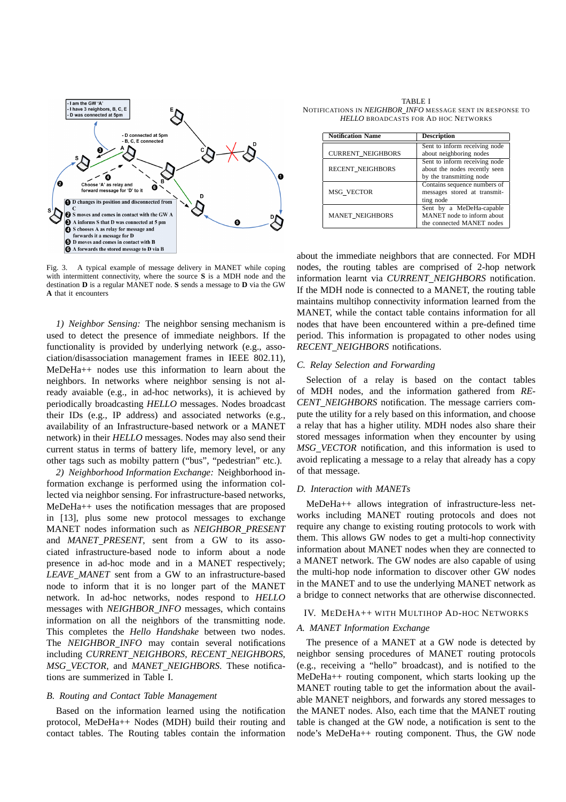

Fig. 3. A typical example of message delivery in MANET while coping with intermittent connectivity, where the source **S** is a MDH node and the destination **D** is a regular MANET node. **S** sends a message to **D** via the GW **A** that it encounters

*1) Neighbor Sensing:* The neighbor sensing mechanism is used to detect the presence of immediate neighbors. If the functionality is provided by underlying network (e.g., association/disassociation management frames in IEEE 802.11), MeDeHa++ nodes use this information to learn about the neighbors. In networks where neighbor sensing is not already avaiable (e.g., in ad-hoc networks), it is achieved by periodically broadcasting *HELLO* messages. Nodes broadcast their IDs (e.g., IP address) and associated networks (e.g., availability of an Infrastructure-based network or a MANET network) in their *HELLO* messages. Nodes may also send their current status in terms of battery life, memory level, or any other tags such as mobilty pattern ("bus", "pedestrian" etc.).

*2) Neighborhood Information Exchange:* Neighborhood information exchange is performed using the information collected via neighbor sensing. For infrastructure-based networks, MeDeHa++ uses the notification messages that are proposed in [13], plus some new protocol messages to exchange MANET nodes information such as *NEIGHBOR PRESENT* and *MANET\_PRESENT*, sent from a GW to its associated infrastructure-based node to inform about a node presence in ad-hoc mode and in a MANET respectively; *LEAVE MANET* sent from a GW to an infrastructure-based node to inform that it is no longer part of the MANET network. In ad-hoc networks, nodes respond to *HELLO* messages with *NEIGHBOR INFO* messages, which contains information on all the neighbors of the transmitting node. This completes the *Hello Handshake* between two nodes. The *NEIGHBOR INFO* may contain several notifications including *CURRENT NEIGHBORS*, *RECENT NEIGHBORS*, *MSG VECTOR*, and *MANET NEIGHBORS*. These notifications are summerized in Table I.

#### *B. Routing and Contact Table Management*

Based on the information learned using the notification protocol, MeDeHa++ Nodes (MDH) build their routing and contact tables. The Routing tables contain the information

TABLE I NOTIFICATIONS IN *NEIGHBOR INFO* MESSAGE SENT IN RESPONSE TO *HELLO* BROADCASTS FOR AD HOC NETWORKS

| <b>Notification Name</b> | <b>Description</b>            |  |
|--------------------------|-------------------------------|--|
|                          | Sent to inform receiving node |  |
| <b>CURRENT_NEIGHBORS</b> | about neighboring nodes       |  |
|                          | Sent to inform receiving node |  |
| <b>RECENT NEIGHBORS</b>  | about the nodes recently seen |  |
|                          | by the transmitting node      |  |
|                          | Contains sequence numbers of  |  |
| MSG VECTOR               | messages stored at transmit-  |  |
|                          | ting node                     |  |
|                          | Sent by a MeDeHa-capable      |  |
| <b>MANET NEIGHBORS</b>   | MANET node to inform about    |  |
|                          | the connected MANET nodes     |  |

about the immediate neighbors that are connected. For MDH nodes, the routing tables are comprised of 2-hop network information learnt via *CURRENT NEIGHBORS* notification. If the MDH node is connected to a MANET, the routing table maintains multihop connectivity information learned from the MANET, while the contact table contains information for all nodes that have been encountered within a pre-defined time period. This information is propagated to other nodes using *RECENT NEIGHBORS* notifications.

#### *C. Relay Selection and Forwarding*

Selection of a relay is based on the contact tables of MDH nodes, and the information gathered from *RE-CENT NEIGHBORS* notification. The message carriers compute the utility for a rely based on this information, and choose a relay that has a higher utility. MDH nodes also share their stored messages information when they encounter by using *MSG VECTOR* notification, and this information is used to avoid replicating a message to a relay that already has a copy of that message.

## *D. Interaction with MANETs*

MeDeHa++ allows integration of infrastructure-less networks including MANET routing protocols and does not require any change to existing routing protocols to work with them. This allows GW nodes to get a multi-hop connectivity information about MANET nodes when they are connected to a MANET network. The GW nodes are also capable of using the multi-hop node information to discover other GW nodes in the MANET and to use the underlying MANET network as a bridge to connect networks that are otherwise disconnected.

## IV. MEDEHA++ WITH MULTIHOP AD-HOC NETWORKS

## *A. MANET Information Exchange*

The presence of a MANET at a GW node is detected by neighbor sensing procedures of MANET routing protocols (e.g., receiving a "hello" broadcast), and is notified to the MeDeHa++ routing component, which starts looking up the MANET routing table to get the information about the available MANET neighbors, and forwards any stored messages to the MANET nodes. Also, each time that the MANET routing table is changed at the GW node, a notification is sent to the node's MeDeHa++ routing component. Thus, the GW node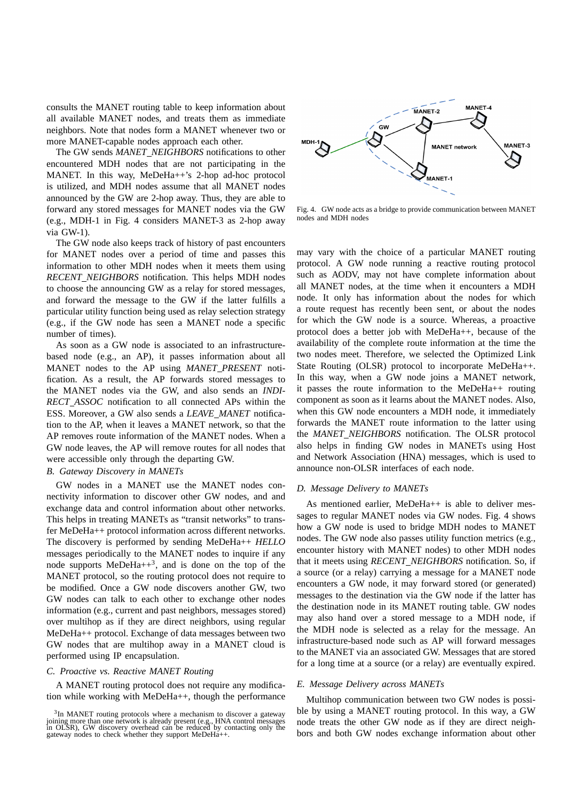consults the MANET routing table to keep information about all available MANET nodes, and treats them as immediate neighbors. Note that nodes form a MANET whenever two or more MANET-capable nodes approach each other.

The GW sends *MANET NEIGHBORS* notifications to other encountered MDH nodes that are not participating in the MANET. In this way, MeDeHa++'s 2-hop ad-hoc protocol is utilized, and MDH nodes assume that all MANET nodes announced by the GW are 2-hop away. Thus, they are able to forward any stored messages for MANET nodes via the GW (e.g., MDH-1 in Fig. 4 considers MANET-3 as 2-hop away via GW-1).

The GW node also keeps track of history of past encounters for MANET nodes over a period of time and passes this information to other MDH nodes when it meets them using *RECENT NEIGHBORS* notification. This helps MDH nodes to choose the announcing GW as a relay for stored messages, and forward the message to the GW if the latter fulfills a particular utility function being used as relay selection strategy (e.g., if the GW node has seen a MANET node a specific number of times).

As soon as a GW node is associated to an infrastructurebased node (e.g., an AP), it passes information about all MANET nodes to the AP using *MANET\_PRESENT* notification. As a result, the AP forwards stored messages to the MANET nodes via the GW, and also sends an *INDI-RECT ASSOC* notification to all connected APs within the ESS. Moreover, a GW also sends a *LEAVE MANET* notification to the AP, when it leaves a MANET network, so that the AP removes route information of the MANET nodes. When a GW node leaves, the AP will remove routes for all nodes that were accessible only through the departing GW.

# *B. Gateway Discovery in MANETs*

GW nodes in a MANET use the MANET nodes connectivity information to discover other GW nodes, and and exchange data and control information about other networks. This helps in treating MANETs as "transit networks" to transfer MeDeHa++ protocol information across different networks. The discovery is performed by sending MeDeHa++ *HELLO* messages periodically to the MANET nodes to inquire if any node supports  $MeDeHa++^3$ , and is done on the top of the MANET protocol, so the routing protocol does not require to be modified. Once a GW node discovers another GW, two GW nodes can talk to each other to exchange other nodes information (e.g., current and past neighbors, messages stored) over multihop as if they are direct neighbors, using regular MeDeHa++ protocol. Exchange of data messages between two GW nodes that are multihop away in a MANET cloud is performed using IP encapsulation.

## *C. Proactive vs. Reactive MANET Routing*

A MANET routing protocol does not require any modification while working with MeDeHa++, though the performance



Fig. 4. GW node acts as a bridge to provide communication between MANET nodes and MDH nodes

may vary with the choice of a particular MANET routing protocol. A GW node running a reactive routing protocol such as AODV, may not have complete information about all MANET nodes, at the time when it encounters a MDH node. It only has information about the nodes for which a route request has recently been sent, or about the nodes for which the GW node is a source. Whereas, a proactive protocol does a better job with MeDeHa++, because of the availability of the complete route information at the time the two nodes meet. Therefore, we selected the Optimized Link State Routing (OLSR) protocol to incorporate MeDeHa++. In this way, when a GW node joins a MANET network, it passes the route information to the MeDeHa++ routing component as soon as it learns about the MANET nodes. Also, when this GW node encounters a MDH node, it immediately forwards the MANET route information to the latter using the *MANET NEIGHBORS* notification. The OLSR protocol also helps in finding GW nodes in MANETs using Host and Network Association (HNA) messages, which is used to announce non-OLSR interfaces of each node.

## *D. Message Delivery to MANETs*

As mentioned earlier, MeDeHa++ is able to deliver messages to regular MANET nodes via GW nodes. Fig. 4 shows how a GW node is used to bridge MDH nodes to MANET nodes. The GW node also passes utility function metrics (e.g., encounter history with MANET nodes) to other MDH nodes that it meets using *RECENT NEIGHBORS* notification. So, if a source (or a relay) carrying a message for a MANET node encounters a GW node, it may forward stored (or generated) messages to the destination via the GW node if the latter has the destination node in its MANET routing table. GW nodes may also hand over a stored message to a MDH node, if the MDH node is selected as a relay for the message. An infrastructure-based node such as AP will forward messages to the MANET via an associated GW. Messages that are stored for a long time at a source (or a relay) are eventually expired.

## *E. Message Delivery across MANETs*

Multihop communication between two GW nodes is possible by using a MANET routing protocol. In this way, a GW node treats the other GW node as if they are direct neighbors and both GW nodes exchange information about other

<sup>&</sup>lt;sup>3</sup>In MANET routing protocols where a mechanism to discover a gateway joining more than one network is already present (e.g., HNA control messages in OLSR), GW discovery overhead can be reduced by contacting only the gateway nodes to check whether they support MeDeHa++.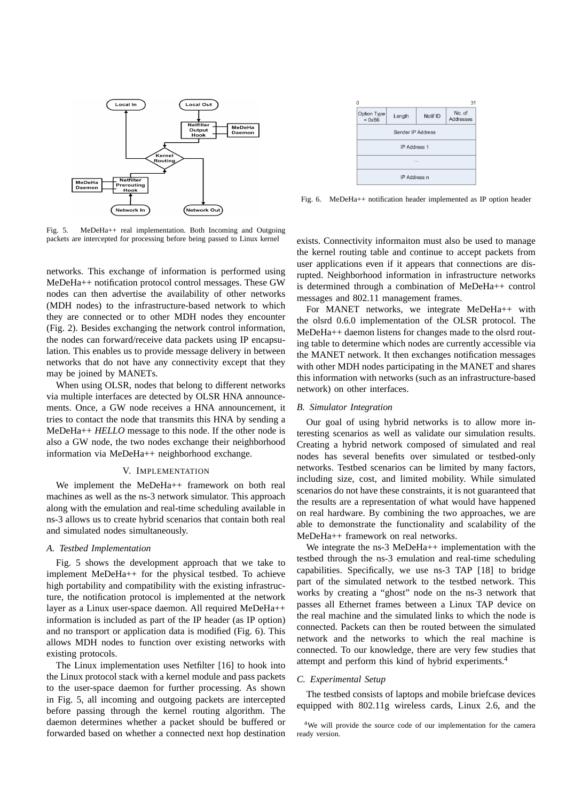

Fig. 5. MeDeHa++ real implementation. Both Incoming and Outgoing packets are intercepted for processing before being passed to Linux kernel

networks. This exchange of information is performed using MeDeHa++ notification protocol control messages. These GW nodes can then advertise the availability of other networks (MDH nodes) to the infrastructure-based network to which they are connected or to other MDH nodes they encounter (Fig. 2). Besides exchanging the network control information, the nodes can forward/receive data packets using IP encapsulation. This enables us to provide message delivery in between networks that do not have any connectivity except that they may be joined by MANETs.

When using OLSR, nodes that belong to different networks via multiple interfaces are detected by OLSR HNA announcements. Once, a GW node receives a HNA announcement, it tries to contact the node that transmits this HNA by sending a MeDeHa++ *HELLO* message to this node. If the other node is also a GW node, the two nodes exchange their neighborhood information via MeDeHa++ neighborhood exchange.

#### V. IMPLEMENTATION

We implement the MeDeHa++ framework on both real machines as well as the ns-3 network simulator. This approach along with the emulation and real-time scheduling available in ns-3 allows us to create hybrid scenarios that contain both real and simulated nodes simultaneously.

# *A. Testbed Implementation*

Fig. 5 shows the development approach that we take to implement MeDeHa++ for the physical testbed. To achieve high portability and compatibility with the existing infrastructure, the notification protocol is implemented at the network layer as a Linux user-space daemon. All required MeDeHa++ information is included as part of the IP header (as IP option) and no transport or application data is modified (Fig. 6). This allows MDH nodes to function over existing networks with existing protocols.

The Linux implementation uses Netfilter [16] to hook into the Linux protocol stack with a kernel module and pass packets to the user-space daemon for further processing. As shown in Fig. 5, all incoming and outgoing packets are intercepted before passing through the kernel routing algorithm. The daemon determines whether a packet should be buffered or forwarded based on whether a connected next hop destination

|                                |        |          | 31                  |  |
|--------------------------------|--------|----------|---------------------|--|
| Option Type<br>$= 0 \times B6$ | Length | Notif ID | No. of<br>Addresses |  |
| Sender IP Address              |        |          |                     |  |
| <b>IP Address 1</b>            |        |          |                     |  |
| 1.11                           |        |          |                     |  |
| IP Address n                   |        |          |                     |  |

Fig. 6. MeDeHa++ notification header implemented as IP option header

exists. Connectivity informaiton must also be used to manage the kernel routing table and continue to accept packets from user applications even if it appears that connections are disrupted. Neighborhood information in infrastructure networks is determined through a combination of MeDeHa++ control messages and 802.11 management frames.

For MANET networks, we integrate MeDeHa++ with the olsrd 0.6.0 implementation of the OLSR protocol. The MeDeHa++ daemon listens for changes made to the olsrd routing table to determine which nodes are currently accessible via the MANET network. It then exchanges notification messages with other MDH nodes participating in the MANET and shares this information with networks (such as an infrastructure-based network) on other interfaces.

#### *B. Simulator Integration*

Our goal of using hybrid networks is to allow more interesting scenarios as well as validate our simulation results. Creating a hybrid network composed of simulated and real nodes has several benefits over simulated or testbed-only networks. Testbed scenarios can be limited by many factors, including size, cost, and limited mobility. While simulated scenarios do not have these constraints, it is not guaranteed that the results are a representation of what would have happened on real hardware. By combining the two approaches, we are able to demonstrate the functionality and scalability of the MeDeHa++ framework on real networks.

We integrate the ns-3 MeDeHa++ implementation with the testbed through the ns-3 emulation and real-time scheduling capabilities. Specifically, we use ns-3 TAP [18] to bridge part of the simulated network to the testbed network. This works by creating a "ghost" node on the ns-3 network that passes all Ethernet frames between a Linux TAP device on the real machine and the simulated links to which the node is connected. Packets can then be routed between the simulated network and the networks to which the real machine is connected. To our knowledge, there are very few studies that attempt and perform this kind of hybrid experiments.<sup>4</sup>

## *C. Experimental Setup*

The testbed consists of laptops and mobile briefcase devices equipped with 802.11g wireless cards, Linux 2.6, and the

<sup>4</sup>We will provide the source code of our implementation for the camera ready version.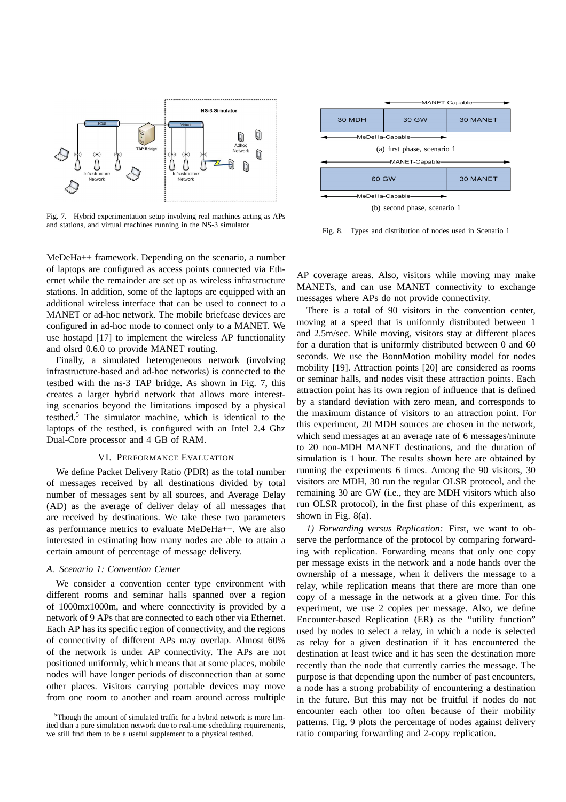

Fig. 7. Hybrid experimentation setup involving real machines acting as APs and stations, and virtual machines running in the NS-3 simulator

MeDeHa++ framework. Depending on the scenario, a number of laptops are configured as access points connected via Ethernet while the remainder are set up as wireless infrastructure stations. In addition, some of the laptops are equipped with an additional wireless interface that can be used to connect to a MANET or ad-hoc network. The mobile briefcase devices are configured in ad-hoc mode to connect only to a MANET. We use hostapd [17] to implement the wireless AP functionality and olsrd 0.6.0 to provide MANET routing.

Finally, a simulated heterogeneous network (involving infrastructure-based and ad-hoc networks) is connected to the testbed with the ns-3 TAP bridge. As shown in Fig. 7, this creates a larger hybrid network that allows more interesting scenarios beyond the limitations imposed by a physical testbed.<sup>5</sup> The simulator machine, which is identical to the laptops of the testbed, is configured with an Intel 2.4 Ghz Dual-Core processor and 4 GB of RAM.

## VI. PERFORMANCE EVALUATION

We define Packet Delivery Ratio (PDR) as the total number of messages received by all destinations divided by total number of messages sent by all sources, and Average Delay (AD) as the average of deliver delay of all messages that are received by destinations. We take these two parameters as performance metrics to evaluate MeDeHa++. We are also interested in estimating how many nodes are able to attain a certain amount of percentage of message delivery.

# *A. Scenario 1: Convention Center*

We consider a convention center type environment with different rooms and seminar halls spanned over a region of 1000mx1000m, and where connectivity is provided by a network of 9 APs that are connected to each other via Ethernet. Each AP has its specific region of connectivity, and the regions of connectivity of different APs may overlap. Almost 60% of the network is under AP connectivity. The APs are not positioned uniformly, which means that at some places, mobile nodes will have longer periods of disconnection than at some other places. Visitors carrying portable devices may move from one room to another and roam around across multiple



(b) second phase, scenario 1

Fig. 8. Types and distribution of nodes used in Scenario 1

AP coverage areas. Also, visitors while moving may make MANETs, and can use MANET connectivity to exchange messages where APs do not provide connectivity.

There is a total of 90 visitors in the convention center, moving at a speed that is uniformly distributed between 1 and 2.5m/sec. While moving, visitors stay at different places for a duration that is uniformly distributed between 0 and 60 seconds. We use the BonnMotion mobility model for nodes mobility [19]. Attraction points [20] are considered as rooms or seminar halls, and nodes visit these attraction points. Each attraction point has its own region of influence that is defined by a standard deviation with zero mean, and corresponds to the maximum distance of visitors to an attraction point. For this experiment, 20 MDH sources are chosen in the network, which send messages at an average rate of 6 messages/minute to 20 non-MDH MANET destinations, and the duration of simulation is 1 hour. The results shown here are obtained by running the experiments 6 times. Among the 90 visitors, 30 visitors are MDH, 30 run the regular OLSR protocol, and the remaining 30 are GW (i.e., they are MDH visitors which also run OLSR protocol), in the first phase of this experiment, as shown in Fig. 8(a).

*1) Forwarding versus Replication:* First, we want to observe the performance of the protocol by comparing forwarding with replication. Forwarding means that only one copy per message exists in the network and a node hands over the ownership of a message, when it delivers the message to a relay, while replication means that there are more than one copy of a message in the network at a given time. For this experiment, we use 2 copies per message. Also, we define Encounter-based Replication (ER) as the "utility function" used by nodes to select a relay, in which a node is selected as relay for a given destination if it has encountered the destination at least twice and it has seen the destination more recently than the node that currently carries the message. The purpose is that depending upon the number of past encounters, a node has a strong probability of encountering a destination in the future. But this may not be fruitful if nodes do not encounter each other too often because of their mobility patterns. Fig. 9 plots the percentage of nodes against delivery ratio comparing forwarding and 2-copy replication.

<sup>5</sup>Though the amount of simulated traffic for a hybrid network is more limited than a pure simulation network due to real-time scheduling requirements, we still find them to be a useful supplement to a physical testbed.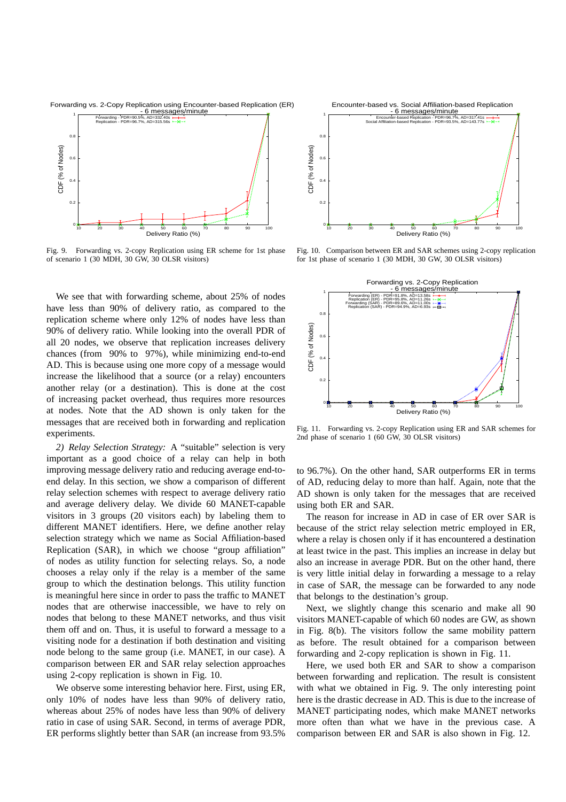

Fig. 9. Forwarding vs. 2-copy Replication using ER scheme for 1st phase of scenario 1 (30 MDH, 30 GW, 30 OLSR visitors)

10 20 30 40 50 60 70 80 90 100

Delivery Ratio (%)

0

We see that with forwarding scheme, about 25% of nodes have less than 90% of delivery ratio, as compared to the replication scheme where only 12% of nodes have less than 90% of delivery ratio. While looking into the overall PDR of all 20 nodes, we observe that replication increases delivery chances (from 90% to 97%), while minimizing end-to-end AD. This is because using one more copy of a message would increase the likelihood that a source (or a relay) encounters another relay (or a destination). This is done at the cost of increasing packet overhead, thus requires more resources at nodes. Note that the AD shown is only taken for the messages that are received both in forwarding and replication experiments.

*2) Relay Selection Strategy:* A "suitable" selection is very important as a good choice of a relay can help in both improving message delivery ratio and reducing average end-toend delay. In this section, we show a comparison of different relay selection schemes with respect to average delivery ratio and average delivery delay. We divide 60 MANET-capable visitors in 3 groups (20 visitors each) by labeling them to different MANET identifiers. Here, we define another relay selection strategy which we name as Social Affiliation-based Replication (SAR), in which we choose "group affiliation" of nodes as utility function for selecting relays. So, a node chooses a relay only if the relay is a member of the same group to which the destination belongs. This utility function is meaningful here since in order to pass the traffic to MANET nodes that are otherwise inaccessible, we have to rely on nodes that belong to these MANET networks, and thus visit them off and on. Thus, it is useful to forward a message to a visiting node for a destination if both destination and visiting node belong to the same group (i.e. MANET, in our case). A comparison between ER and SAR relay selection approaches using 2-copy replication is shown in Fig. 10.

We observe some interesting behavior here. First, using ER, only 10% of nodes have less than 90% of delivery ratio, whereas about 25% of nodes have less than 90% of delivery ratio in case of using SAR. Second, in terms of average PDR, ER performs slightly better than SAR (an increase from 93.5%



Fig. 10. Comparison between ER and SAR schemes using 2-copy replication for 1st phase of scenario 1 (30 MDH, 30 GW, 30 OLSR visitors)



Fig. 11. Forwarding vs. 2-copy Replication using ER and SAR schemes for 2nd phase of scenario 1 (60 GW, 30 OLSR visitors)

to 96.7%). On the other hand, SAR outperforms ER in terms of AD, reducing delay to more than half. Again, note that the AD shown is only taken for the messages that are received using both ER and SAR.

The reason for increase in AD in case of ER over SAR is because of the strict relay selection metric employed in ER, where a relay is chosen only if it has encountered a destination at least twice in the past. This implies an increase in delay but also an increase in average PDR. But on the other hand, there is very little initial delay in forwarding a message to a relay in case of SAR, the message can be forwarded to any node that belongs to the destination's group.

Next, we slightly change this scenario and make all 90 visitors MANET-capable of which 60 nodes are GW, as shown in Fig. 8(b). The visitors follow the same mobility pattern as before. The result obtained for a comparison between forwarding and 2-copy replication is shown in Fig. 11.

Here, we used both ER and SAR to show a comparison between forwarding and replication. The result is consistent with what we obtained in Fig. 9. The only interesting point here is the drastic decrease in AD. This is due to the increase of MANET participating nodes, which make MANET networks more often than what we have in the previous case. A comparison between ER and SAR is also shown in Fig. 12.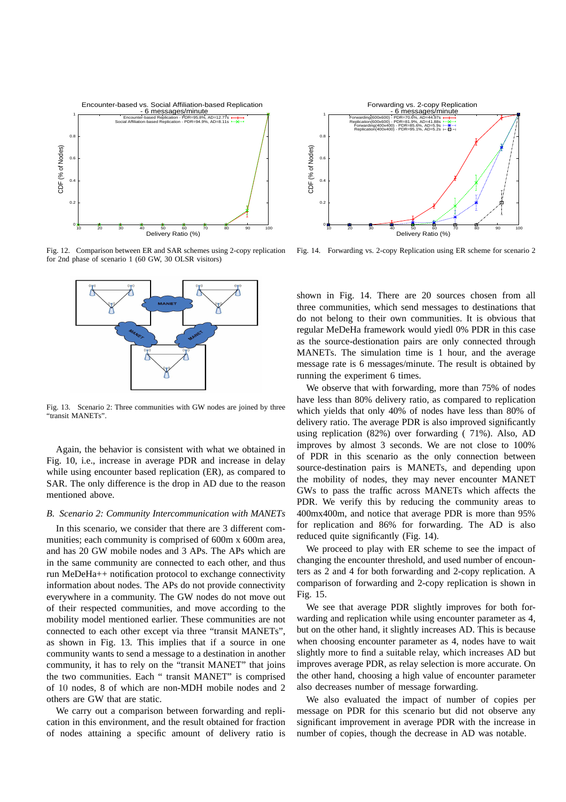

Fig. 12. Comparison between ER and SAR schemes using 2-copy replication for 2nd phase of scenario 1 (60 GW, 30 OLSR visitors)



Fig. 13. Scenario 2: Three communities with GW nodes are joined by three "transit MANETs".

Again, the behavior is consistent with what we obtained in Fig. 10, i.e., increase in average PDR and increase in delay while using encounter based replication (ER), as compared to SAR. The only difference is the drop in AD due to the reason mentioned above.

## *B. Scenario 2: Community Intercommunication with MANETs*

In this scenario, we consider that there are 3 different communities; each community is comprised of 600m x 600m area. and has 20 GW mobile nodes and 3 APs. The APs which are in the same community are connected to each other, and thus run MeDeHa++ notification protocol to exchange connectivity information about nodes. The APs do not provide connectivity everywhere in a community. The GW nodes do not move out of their respected communities, and move according to the mobility model mentioned earlier. These communities are not connected to each other except via three "transit MANETs", as shown in Fig. 13. This implies that if a source in one community wants to send a message to a destination in another community, it has to rely on the "transit MANET" that joins the two communities. Each " transit MANET" is comprised of 10 nodes, 8 of which are non-MDH mobile nodes and 2 others are GW that are static.

We carry out a comparison between forwarding and replication in this environment, and the result obtained for fraction of nodes attaining a specific amount of delivery ratio is



Fig. 14. Forwarding vs. 2-copy Replication using ER scheme for scenario 2

shown in Fig. 14. There are 20 sources chosen from all three communities, which send messages to destinations that do not belong to their own communities. It is obvious that regular MeDeHa framework would yiedl 0% PDR in this case as the source-destionation pairs are only connected through MANETs. The simulation time is 1 hour, and the average message rate is 6 messages/minute. The result is obtained by running the experiment 6 times.

We observe that with forwarding, more than 75% of nodes have less than 80% delivery ratio, as compared to replication which yields that only 40% of nodes have less than 80% of delivery ratio. The average PDR is also improved significantly using replication (82%) over forwarding ( 71%). Also, AD improves by almost 3 seconds. We are not close to 100% of PDR in this scenario as the only connection between source-destination pairs is MANETs, and depending upon the mobility of nodes, they may never encounter MANET GWs to pass the traffic across MANETs which affects the PDR. We verify this by reducing the community areas to 400mx400m, and notice that average PDR is more than 95% for replication and 86% for forwarding. The AD is also reduced quite significantly (Fig. 14).

We proceed to play with ER scheme to see the impact of changing the encounter threshold, and used number of encounters as 2 and 4 for both forwarding and 2-copy replication. A comparison of forwarding and 2-copy replication is shown in Fig. 15.

We see that average PDR slightly improves for both forwarding and replication while using encounter parameter as 4, but on the other hand, it slightly increases AD. This is because when choosing encounter parameter as 4, nodes have to wait slightly more to find a suitable relay, which increases AD but improves average PDR, as relay selection is more accurate. On the other hand, choosing a high value of encounter parameter also decreases number of message forwarding.

We also evaluated the impact of number of copies per message on PDR for this scenario but did not observe any significant improvement in average PDR with the increase in number of copies, though the decrease in AD was notable.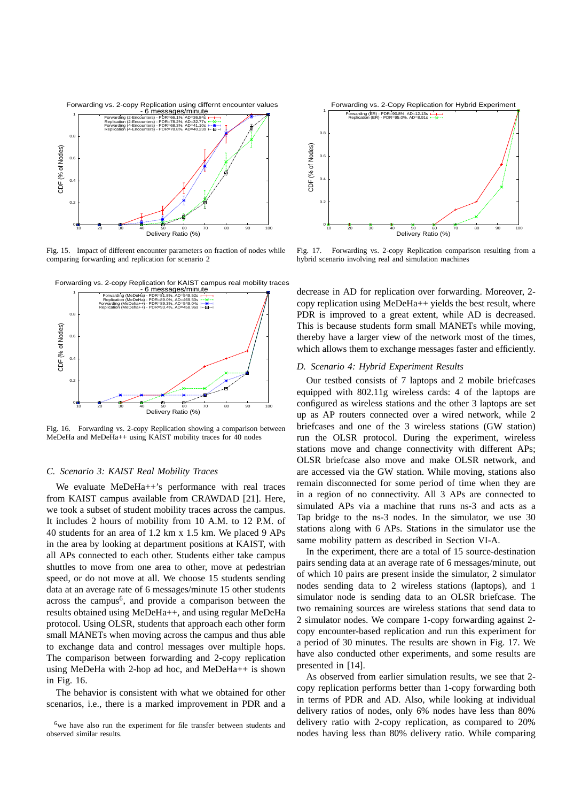

Fig. 15. Impact of different encounter parameters on fraction of nodes while comparing forwarding and replication for scenario 2





Fig. 16. Forwarding vs. 2-copy Replication showing a comparison between MeDeHa and MeDeHa++ using KAIST mobility traces for 40 nodes

## *C. Scenario 3: KAIST Real Mobility Traces*

We evaluate MeDeHa++'s performance with real traces from KAIST campus available from CRAWDAD [21]. Here, we took a subset of student mobility traces across the campus. It includes 2 hours of mobility from 10 A.M. to 12 P.M. of 40 students for an area of 1.2 km x 1.5 km. We placed 9 APs in the area by looking at department positions at KAIST, with all APs connected to each other. Students either take campus shuttles to move from one area to other, move at pedestrian speed, or do not move at all. We choose 15 students sending data at an average rate of 6 messages/minute 15 other students across the campus<sup>6</sup>, and provide a comparison between the results obtained using MeDeHa++, and using regular MeDeHa protocol. Using OLSR, students that approach each other form small MANETs when moving across the campus and thus able to exchange data and control messages over multiple hops. The comparison between forwarding and 2-copy replication using MeDeHa with 2-hop ad hoc, and MeDeHa++ is shown in Fig. 16.

The behavior is consistent with what we obtained for other scenarios, i.e., there is a marked improvement in PDR and a



Fig. 17. Forwarding vs. 2-copy Replication comparison resulting from a hybrid scenario involving real and simulation machines

decrease in AD for replication over forwarding. Moreover, 2 copy replication using MeDeHa++ yields the best result, where PDR is improved to a great extent, while AD is decreased. This is because students form small MANETs while moving, thereby have a larger view of the network most of the times, which allows them to exchange messages faster and efficiently.

# *D. Scenario 4: Hybrid Experiment Results*

Our testbed consists of 7 laptops and 2 mobile briefcases equipped with 802.11g wireless cards: 4 of the laptops are configured as wireless stations and the other 3 laptops are set up as AP routers connected over a wired network, while 2 briefcases and one of the 3 wireless stations (GW station) run the OLSR protocol. During the experiment, wireless stations move and change connectivity with different APs; OLSR briefcase also move and make OLSR network, and are accessed via the GW station. While moving, stations also remain disconnected for some period of time when they are in a region of no connectivity. All 3 APs are connected to simulated APs via a machine that runs ns-3 and acts as a Tap bridge to the ns-3 nodes. In the simulator, we use 30 stations along with 6 APs. Stations in the simulator use the same mobility pattern as described in Section VI-A.

In the experiment, there are a total of 15 source-destination pairs sending data at an average rate of 6 messages/minute, out of which 10 pairs are present inside the simulator, 2 simulator nodes sending data to 2 wireless stations (laptops), and 1 simulator node is sending data to an OLSR briefcase. The two remaining sources are wireless stations that send data to 2 simulator nodes. We compare 1-copy forwarding against 2 copy encounter-based replication and run this experiment for a period of 30 minutes. The results are shown in Fig. 17. We have also conducted other experiments, and some results are presented in [14].

As observed from earlier simulation results, we see that 2 copy replication performs better than 1-copy forwarding both in terms of PDR and AD. Also, while looking at individual delivery ratios of nodes, only 6% nodes have less than 80% delivery ratio with 2-copy replication, as compared to 20% nodes having less than 80% delivery ratio. While comparing

<sup>&</sup>lt;sup>6</sup>we have also run the experiment for file transfer between students and observed similar results.